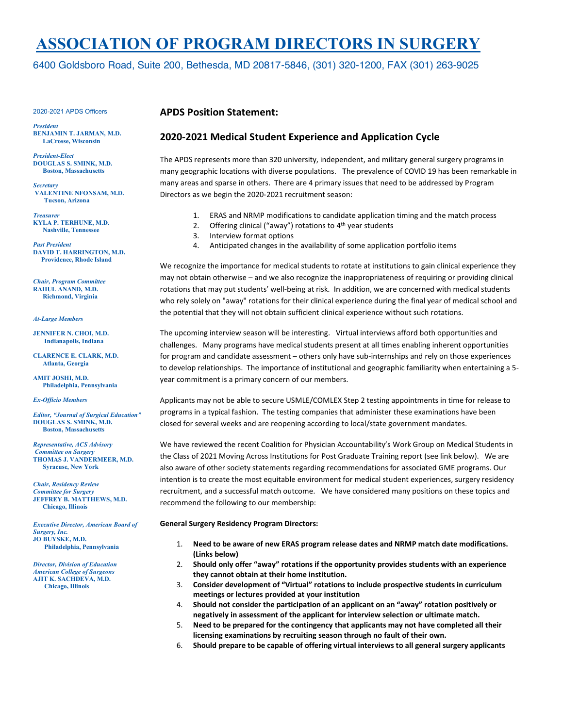## **ASSOCIATION OF PROGRAM DIRECTORS IN SURGERY**

6400 Goldsboro Road, Suite 200, Bethesda, MD 20817-5846, (301) 320-1200, FAX (301) 263-9025

2020-2021 APDS Officers

*President* **BENJAMIN T. JARMAN, M.D. LaCrosse, Wisconsin**

*President-Elect*  **DOUGLAS S. SMINK, M.D. Boston, Massachusetts**

*Secretary*  **VALENTINE NFONSAM, M.D. Tucson, Arizona**

*Treasurer*  **KYLA P. TERHUNE, M.D. Nashville, Tennessee** 

*Past President*  **DAVID T. HARRINGTON, M.D. Providence, Rhode Island**

*Chair, Program Committee* **RAHUL ANAND, M.D. Richmond, Virginia** 

*At-Large Members* 

**JENNIFER N. CHOI, M.D. Indianapolis, Indiana**

**CLARENCE E. CLARK, M.D. Atlanta, Georgia** 

**AMIT JOSHI, M.D. Philadelphia, Pennsylvania** 

*Ex-Officio Members* 

*Editor, "Journal of Surgical Education"*  **DOUGLAS S. SMINK, M.D. Boston, Massachusetts** 

*Representative, ACS Advisory Committee on Surgery*  **THOMAS J. VANDERMEER, M.D. Syracuse, New York**

*Chair, Residency Review Committee for Surgery*  **JEFFREY B. MATTHEWS, M.D. Chicago, Illinois**

*Executive Director, American Board of Surgery, Inc.*  **JO BUYSKE, M.D. Philadelphia, Pennsylvania**

*Director, Division of Education American College of Surgeons* **AJIT K. SACHDEVA, M.D. Chicago, Illinois** 

## **APDS Position Statement:**

## **2020-2021 Medical Student Experience and Application Cycle**

The APDS represents more than 320 university, independent, and military general surgery programs in many geographic locations with diverse populations. The prevalence of COVID 19 has been remarkable in many areas and sparse in others. There are 4 primary issues that need to be addressed by Program Directors as we begin the 2020-2021 recruitment season:

- 1. ERAS and NRMP modifications to candidate application timing and the match process
- 2. Offering clinical ("away") rotations to 4<sup>th</sup> year students
- 3. Interview format options
- 4. Anticipated changes in the availability of some application portfolio items

We recognize the importance for medical students to rotate at institutions to gain clinical experience they may not obtain otherwise – and we also recognize the inappropriateness of requiring or providing clinical rotations that may put students' well-being at risk. In addition, we are concerned with medical students who rely solely on "away" rotations for their clinical experience during the final year of medical school and the potential that they will not obtain sufficient clinical experience without such rotations.

The upcoming interview season will be interesting. Virtual interviews afford both opportunities and challenges. Many programs have medical students present at all times enabling inherent opportunities for program and candidate assessment – others only have sub-internships and rely on those experiences to develop relationships. The importance of institutional and geographic familiarity when entertaining a 5 year commitment is a primary concern of our members.

Applicants may not be able to secure USMLE/COMLEX Step 2 testing appointments in time for release to programs in a typical fashion. The testing companies that administer these examinations have been closed for several weeks and are reopening according to local/state government mandates.

We have reviewed the recent Coalition for Physician Accountability's Work Group on Medical Students in the Class of 2021 Moving Across Institutions for Post Graduate Training report (see link below). We are also aware of other society statements regarding recommendations for associated GME programs. Our intention is to create the most equitable environment for medical student experiences, surgery residency recruitment, and a successful match outcome. We have considered many positions on these topics and recommend the following to our membership:

## **General Surgery Residency Program Directors:**

- 1. **Need to be aware of new ERAS program release dates and NRMP match date modifications. (Links below)**
- 2. **Should only offer "away" rotations if the opportunity provides students with an experience they cannot obtain at their home institution.**
- 3. **Consider development of "Virtual" rotations to include prospective students in curriculum meetings or lectures provided at your institution**
- 4. **Should not consider the participation of an applicant on an "away" rotation positively or negatively in assessment of the applicant for interview selection or ultimate match.**
- 5. **Need to be prepared for the contingency that applicants may not have completed all their licensing examinations by recruiting season through no fault of their own.**
- 6. **Should prepare to be capable of offering virtual interviews to all general surgery applicants**